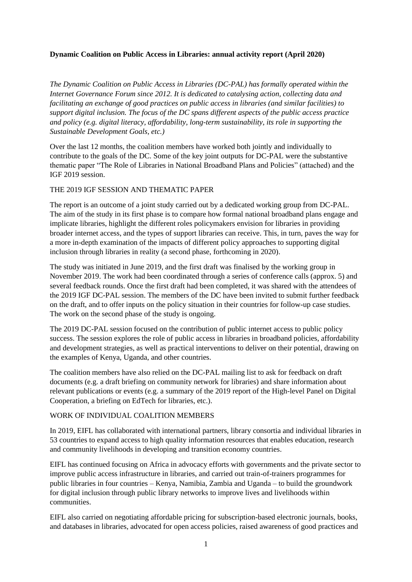# **Dynamic Coalition on Public Access in Libraries: annual activity report (April 2020)**

*The Dynamic Coalition on Public Access in Libraries (DC-PAL) has formally operated within the Internet Governance Forum since 2012. It is dedicated to catalysing action, collecting data and facilitating an exchange of good practices on public access in libraries (and similar facilities) to support digital inclusion. The focus of the DC spans different aspects of the public access practice and policy (e.g. digital literacy, affordability, long-term sustainability, its role in supporting the Sustainable Development Goals, etc.)* 

Over the last 12 months, the coalition members have worked both jointly and individually to contribute to the goals of the DC. Some of the key joint outputs for DC-PAL were the substantive thematic paper "The Role of Libraries in National Broadband Plans and Policies" (attached) and the IGF 2019 session.

#### THE 2019 IGF SESSION AND THEMATIC PAPER

The report is an outcome of a joint study carried out by a dedicated working group from DC-PAL. The aim of the study in its first phase is to compare how formal national broadband plans engage and implicate libraries, highlight the different roles policymakers envision for libraries in providing broader internet access, and the types of support libraries can receive. This, in turn, paves the way for a more in-depth examination of the impacts of different policy approaches to supporting digital inclusion through libraries in reality (a second phase, forthcoming in 2020).

The study was initiated in June 2019, and the first draft was finalised by the working group in November 2019. The work had been coordinated through a series of conference calls (approx. 5) and several feedback rounds. Once the first draft had been completed, it was shared with the attendees of the 2019 IGF DC-PAL session. The members of the DC have been invited to submit further feedback on the draft, and to offer inputs on the policy situation in their countries for follow-up case studies. The work on the second phase of the study is ongoing.

The 2019 DC-PAL session focused on the contribution of public internet access to public policy success. The session explores the role of public access in libraries in broadband policies, affordability and development strategies, as well as practical interventions to deliver on their potential, drawing on the examples of Kenya, Uganda, and other countries.

The coalition members have also relied on the DC-PAL mailing list to ask for feedback on draft documents (e.g. a draft briefing on community network for libraries) and share information about relevant publications or events (e.g. a summary of the 2019 report of the High-level Panel on Digital Cooperation, a briefing on EdTech for libraries, etc.).

#### WORK OF INDIVIDUAL COALITION MEMBERS

In 2019, EIFL has collaborated with international partners, library consortia and individual libraries in 53 countries to expand access to high quality information resources that enables education, research and community livelihoods in developing and transition economy countries.

EIFL has continued focusing on Africa in advocacy efforts with governments and the private sector to improve public access infrastructure in libraries, and carried out train-of-trainers programmes for public libraries in four countries – Kenya, Namibia, Zambia and Uganda – to build the groundwork for digital inclusion through public library networks to improve lives and livelihoods within communities.

EIFL also carried on negotiating affordable pricing for subscription-based electronic journals, books, and databases in libraries, advocated for open access policies, raised awareness of good practices and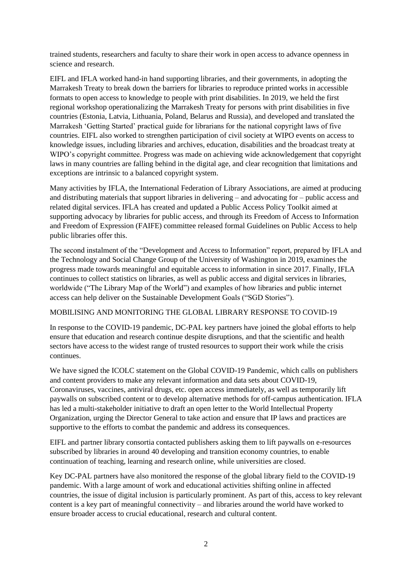trained students, researchers and faculty to share their work in open access to advance openness in science and research.

EIFL and IFLA worked hand-in hand supporting libraries, and their governments, in adopting the Marrakesh Treaty to break down the barriers for libraries to reproduce printed works in accessible formats to open access to knowledge to people with print disabilities. In 2019, we held the first regional workshop operationalizing the Marrakesh Treaty for persons with print disabilities in five countries (Estonia, Latvia, Lithuania, Poland, Belarus and Russia), and developed and translated the Marrakesh 'Getting Started' practical guide for librarians for the national copyright laws of five countries. EIFL also worked to strengthen participation of civil society at WIPO events on access to knowledge issues, including libraries and archives, education, disabilities and the broadcast treaty at WIPO's copyright committee. Progress was made on achieving wide acknowledgement that copyright laws in many countries are falling behind in the digital age, and clear recognition that limitations and exceptions are intrinsic to a balanced copyright system.

Many activities by IFLA, the International Federation of Library Associations, are aimed at producing and distributing materials that support libraries in delivering – and advocating for – public access and related digital services. IFLA has created and updated a Public Access Policy Toolkit aimed at supporting advocacy by libraries for public access, and through its Freedom of Access to Information and Freedom of Expression (FAIFE) committee released formal Guidelines on Public Access to help public libraries offer this.

The second instalment of the "Development and Access to Information" report, prepared by IFLA and the Technology and Social Change Group of the University of Washington in 2019, examines the progress made towards meaningful and equitable access to information in since 2017. Finally, IFLA continues to collect statistics on libraries, as well as public access and digital services in libraries, worldwide ("The Library Map of the World") and examples of how libraries and public internet access can help deliver on the Sustainable Development Goals ("SGD Stories").

#### MOBILISING AND MONITORING THE GLOBAL LIBRARY RESPONSE TO COVID-19

In response to the COVID-19 pandemic, DC-PAL key partners have joined the global efforts to help ensure that education and research continue despite disruptions, and that the scientific and health sectors have access to the widest range of trusted resources to support their work while the crisis continues.

We have signed the ICOLC statement on the Global COVID-19 Pandemic, which calls on publishers and content providers to make any relevant information and data sets about COVID-19, Coronaviruses, vaccines, antiviral drugs, etc. open access immediately, as well as temporarily lift paywalls on subscribed content or to develop alternative methods for off-campus authentication. IFLA has led a multi-stakeholder initiative to draft an open letter to the World Intellectual Property Organization, urging the Director General to take action and ensure that IP laws and practices are supportive to the efforts to combat the pandemic and address its consequences.

EIFL and partner library consortia contacted publishers asking them to lift paywalls on e-resources subscribed by libraries in around 40 developing and transition economy countries, to enable continuation of teaching, learning and research online, while universities are closed.

Key DC-PAL partners have also monitored the response of the global library field to the COVID-19 pandemic. With a large amount of work and educational activities shifting online in affected countries, the issue of digital inclusion is particularly prominent. As part of this, access to key relevant content is a key part of meaningful connectivity – and libraries around the world have worked to ensure broader access to crucial educational, research and cultural content.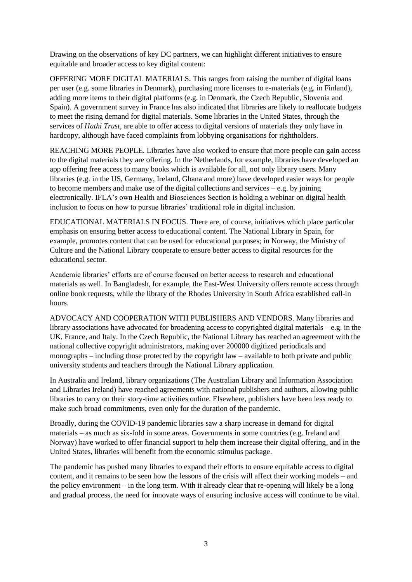Drawing on the observations of key DC partners, we can highlight different initiatives to ensure equitable and broader access to key digital content:

OFFERING MORE DIGITAL MATERIALS. This ranges from raising the number of digital loans per user (e.g. some libraries in Denmark), purchasing more licenses to e-materials (e.g. in Finland), adding more items to their digital platforms (e.g. in Denmark, the Czech Republic, Slovenia and Spain). A government survey in France has also indicated that libraries are likely to reallocate budgets to meet the rising demand for digital materials. Some libraries in the United States, through the services of *Hathi Trust*, are able to offer access to digital versions of materials they only have in hardcopy, although have faced complaints from lobbying organisations for rightholders.

REACHING MORE PEOPLE. Libraries have also worked to ensure that more people can gain access to the digital materials they are offering. In the Netherlands, for example, libraries have developed an app offering free access to many books which is available for all, not only library users. Many libraries (e.g. in the US, Germany, Ireland, Ghana and more) have developed easier ways for people to become members and make use of the digital collections and services  $-e.g.$  by joining electronically. IFLA's own Health and Biosciences Section is holding a webinar on digital health inclusion to focus on how to pursue libraries' traditional role in digital inclusion.

EDUCATIONAL MATERIALS IN FOCUS. There are, of course, initiatives which place particular emphasis on ensuring better access to educational content. The National Library in Spain, for example, promotes content that can be used for educational purposes; in Norway, the Ministry of Culture and the National Library cooperate to ensure better access to digital resources for the educational sector.

Academic libraries' efforts are of course focused on better access to research and educational materials as well. In Bangladesh, for example, the East-West University offers remote access through online book requests, while the library of the Rhodes University in South Africa established call-in hours.

ADVOCACY AND COOPERATION WITH PUBLISHERS AND VENDORS. Many libraries and library associations have advocated for broadening access to copyrighted digital materials  $-e.g.$  in the UK, France, and Italy. In the Czech Republic, the National Library has reached an agreement with the national collective copyright administrators, making over 200000 digitized periodicals and monographs – including those protected by the copyright law – available to both private and public university students and teachers through the National Library application.

In Australia and Ireland, library organizations (The Australian Library and Information Association and Libraries Ireland) have reached agreements with national publishers and authors, allowing public libraries to carry on their story-time activities online. Elsewhere, publishers have been less ready to make such broad commitments, even only for the duration of the pandemic.

Broadly, during the COVID-19 pandemic libraries saw a sharp increase in demand for digital materials – as much as six-fold in some areas. Governments in some countries (e.g. Ireland and Norway) have worked to offer financial support to help them increase their digital offering, and in the United States, libraries will benefit from the economic stimulus package.

The pandemic has pushed many libraries to expand their efforts to ensure equitable access to digital content, and it remains to be seen how the lessons of the crisis will affect their working models – and the policy environment – in the long term. With it already clear that re-opening will likely be a long and gradual process, the need for innovate ways of ensuring inclusive access will continue to be vital.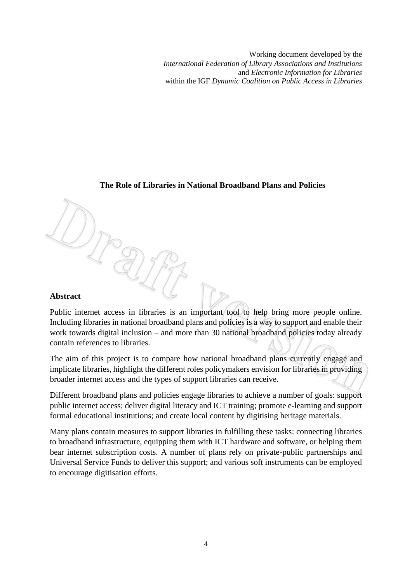Working document developed by the *International Federation of Library Associations and Institutions* and *Electronic Information for Libraries* within the IGF *Dynamic Coalition on Public Access in Libraries*

## **The Role of Libraries in National Broadband Plans and Policies**

#### **Abstract**

Public internet access in libraries is an important tool to help bring more people online. Including libraries in national broadband plans and policies is a way to support and enable their work towards digital inclusion – and more than 30 national broadband policies today already contain references to libraries.

The aim of this project is to compare how national broadband plans currently engage and implicate libraries, highlight the different roles policymakers envision for libraries in providing broader internet access and the types of support libraries can receive.

Different broadband plans and policies engage libraries to achieve a number of goals: support public internet access; deliver digital literacy and ICT training; promote e-learning and support formal educational institutions; and create local content by digitising heritage materials.

Many plans contain measures to support libraries in fulfilling these tasks: connecting libraries to broadband infrastructure, equipping them with ICT hardware and software, or helping them bear internet subscription costs. A number of plans rely on private-public partnerships and Universal Service Funds to deliver this support; and various soft instruments can be employed to encourage digitisation efforts.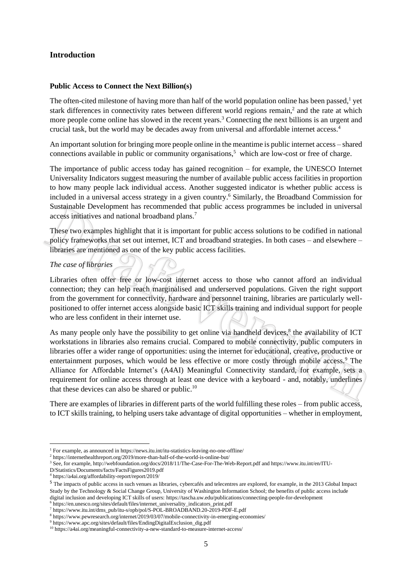# **Introduction**

#### **Public Access to Connect the Next Billion(s)**

The often-cited milestone of having more than half of the world population online has been passed,<sup>1</sup> yet stark differences in connectivity rates between different world regions remain,<sup>2</sup> and the rate at which more people come online has slowed in the recent years.<sup>3</sup> Connecting the next billions is an urgent and crucial task, but the world may be decades away from universal and affordable internet access.<sup>4</sup>

An important solution for bringing more people online in the meantime is public internet access – shared connections available in public or community organisations, $<sup>5</sup>$  which are low-cost or free of charge.</sup>

The importance of public access today has gained recognition – for example, the UNESCO Internet Universality Indicators suggest measuring the number of available public access facilities in proportion to how many people lack individual access. Another suggested indicator is whether public access is included in a universal access strategy in a given country. <sup>6</sup> Similarly, the Broadband Commission for Sustainable Development has recommended that public access programmes be included in universal access initiatives and national broadband plans.<sup>7</sup>

These two examples highlight that it is important for public access solutions to be codified in national policy frameworks that set out internet, ICT and broadband strategies. In both cases – and elsewhere – libraries are mentioned as one of the key public access facilities.

#### *The case of libraries*

Libraries often offer free or low-cost internet access to those who cannot afford an individual connection; they can help reach marginalised and underserved populations. Given the right support from the government for connectivity, hardware and personnel training, libraries are particularly wellpositioned to offer internet access alongside basic ICT skills training and individual support for people who are less confident in their internet use.

As many people only have the possibility to get online via handheld devices,<sup>8</sup> the availability of ICT workstations in libraries also remains crucial. Compared to mobile connectivity, public computers in libraries offer a wider range of opportunities: using the internet for educational, creative, productive or entertainment purposes, which would be less effective or more costly through mobile access.<sup>9</sup> The Alliance for Affordable Internet's (A4AI) Meaningful Connectivity standard, for example, sets a requirement for online access through at least one device with a keyboard - and, notably, underlines that these devices can also be shared or public. $10$ 

There are examples of libraries in different parts of the world fulfilling these roles – from public access, to ICT skills training, to helping users take advantage of digital opportunities – whether in employment,

<sup>1</sup> For example, as announced in https://news.itu.int/itu-statistics-leaving-no-one-offline/

<sup>2</sup> https://internethealthreport.org/2019/more-than-half-of-the-world-is-online-but/

<sup>&</sup>lt;sup>3</sup> See, for example, http://webfoundation.org/docs/2018/11/The-Case-For-The-Web-Report.pdf and https://www.itu.int/en/ITU-

D/Statistics/Documents/facts/FactsFigures2019.pdf

<sup>4</sup> https://a4ai.org/affordability-report/report/2019/

<sup>5</sup> The impacts of public access in such venues as libraries, cybercafés and telecentres are explored, for example, in the 2013 Global Impact Study by the Technology & Social Change Group, University of Washington Information School; the benefits of public access include digital inclusion and developing ICT skills of users: https://tascha.uw.edu/publications/connecting-people-for-development 6 https://en.unesco.org/sites/default/files/internet\_universality\_indicators\_print.pdf

<sup>7</sup> https://www.itu.int/dms\_pub/itu-s/opb/pol/S-POL-BROADBAND.20-2019-PDF-E.pdf

<sup>8</sup> https://www.pewresearch.org/internet/2019/03/07/mobile-connectivity-in-emerging-economies/

<sup>9</sup> https://www.apc.org/sites/default/files/EndingDigitalExclusion\_dig.pdf

<sup>10</sup> https://a4ai.org/meaningful-connectivity-a-new-standard-to-measure-internet-access/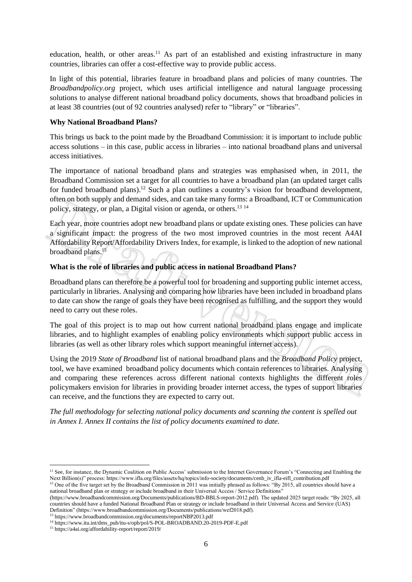education, health, or other areas.<sup>11</sup> As part of an established and existing infrastructure in many countries, libraries can offer a cost-effective way to provide public access.

In light of this potential, libraries feature in broadband plans and policies of many countries. The *Broadbandpolicy.org* project, which uses artificial intelligence and natural language processing solutions to analyse different national broadband policy documents, shows that broadband policies in at least 38 countries (out of 92 countries analysed) refer to "library" or "libraries".

#### **Why National Broadband Plans?**

This brings us back to the point made by the Broadband Commission: it is important to include public access solutions – in this case, public access in libraries – into national broadband plans and universal access initiatives.

The importance of national broadband plans and strategies was emphasised when, in 2011, the Broadband Commission set a target for all countries to have a broadband plan (an updated target calls for funded broadband plans).<sup>12</sup> Such a plan outlines a country's vision for broadband development, often on both supply and demand sides, and can take many forms: a Broadband, ICT or Communication policy, strategy, or plan, a Digital vision or agenda, or others.<sup>13 14</sup>

Each year, more countries adopt new broadband plans or update existing ones. These policies can have a significant impact: the progress of the two most improved countries in the most recent A4AI Affordability Report/Affordability Drivers Index, for example, is linked to the adoption of new national broadband plans.<sup>15</sup>

#### **What is the role of libraries and public access in national Broadband Plans?**

Broadband plans can therefore be a powerful tool for broadening and supporting public internet access, particularly in libraries. Analysing and comparing how libraries have been included in broadband plans to date can show the range of goals they have been recognised as fulfilling, and the support they would need to carry out these roles.

The goal of this project is to map out how current national broadband plans engage and implicate libraries, and to highlight examples of enabling policy environments which support public access in libraries (as well as other library roles which support meaningful internet access).

Using the 2019 *State of Broadband* list of national broadband plans and the *Broadband Policy* project, tool, we have examined broadband policy documents which contain references to libraries. Analysing and comparing these references across different national contexts highlights the different roles policymakers envision for libraries in providing broader internet access, the types of support libraries can receive, and the functions they are expected to carry out.

*The full methodology for selecting national policy documents and scanning the content is spelled out in Annex I. Annex II contains the list of policy documents examined to date.*

<sup>&</sup>lt;sup>11</sup> See, for instance, the Dynamic Coalition on Public Access' submission to the Internet Governance Forum's "Connecting and Enabling the Next Billion(s)" process: https://www.ifla.org/files/assets/hq/topics/info-society/documents/cenb\_iv\_ifla-eifl\_contribution.pdf

<sup>&</sup>lt;sup>12</sup> One of the five target set by the Broadband Commission in 2011 was initially phrased as follows: "By 2015, all countries should have a national broadband plan or strategy or include broadband in their Universal Access / Service Definitions"

<sup>(</sup>https://www.broadbandcommission.org/Documents/publications/BD-BBLS-report-2012.pdf). The updated 2025 target reads: "By 2025, all countries should have a funded National Broadband Plan or strategy or include broadband in their Universal Access and Service (UAS) Definition" (https://www.broadbandcommission.org/Documents/publications/wef2018.pdf).

<sup>13</sup> https://www.broadbandcommission.org/documents/reportNBP2013.pdf

<sup>14</sup> https://www.itu.int/dms\_pub/itu-s/opb/pol/S-POL-BROADBAND.20-2019-PDF-E.pdf

<sup>15</sup> https://a4ai.org/affordability-report/report/2019/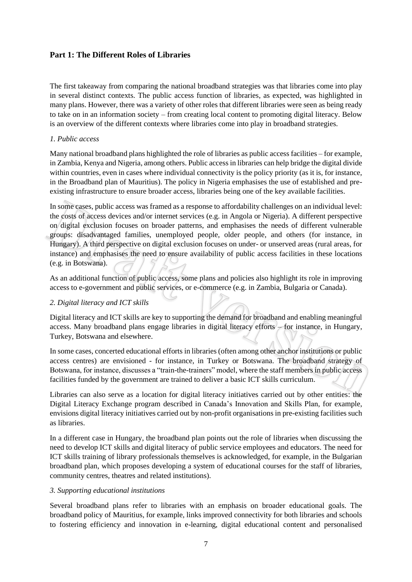# **Part 1: The Different Roles of Libraries**

The first takeaway from comparing the national broadband strategies was that libraries come into play in several distinct contexts. The public access function of libraries, as expected, was highlighted in many plans. However, there was a variety of other roles that different libraries were seen as being ready to take on in an information society – from creating local content to promoting digital literacy. Below is an overview of the different contexts where libraries come into play in broadband strategies.

# *1. Public access*

Many national broadband plans highlighted the role of libraries as public access facilities – for example, in Zambia, Kenya and Nigeria, among others. Public access in libraries can help bridge the digital divide within countries, even in cases where individual connectivity is the policy priority (as it is, for instance, in the Broadband plan of Mauritius). The policy in Nigeria emphasises the use of established and preexisting infrastructure to ensure broader access, libraries being one of the key available facilities.

In some cases, public access was framed as a response to affordability challenges on an individual level: the costs of access devices and/or internet services (e.g. in Angola or Nigeria). A different perspective on digital exclusion focuses on broader patterns, and emphasises the needs of different vulnerable groups: disadvantaged families, unemployed people, older people, and others (for instance, in Hungary). A third perspective on digital exclusion focuses on under- or unserved areas (rural areas, for instance) and emphasises the need to ensure availability of public access facilities in these locations (e.g. in Botswana).

As an additional function of public access, some plans and policies also highlight its role in improving access to e-government and public services, or e-commerce (e.g. in Zambia, Bulgaria or Canada).

# *2. Digital literacy and ICT skills*

Digital literacy and ICT skills are key to supporting the demand for broadband and enabling meaningful access. Many broadband plans engage libraries in digital literacy efforts – for instance, in Hungary, Turkey, Botswana and elsewhere.

In some cases, concerted educational efforts in libraries (often among other anchor institutions or public access centres) are envisioned - for instance, in Turkey or Botswana. The broadband strategy of Botswana, for instance, discusses a "train-the-trainers" model, where the staff members in public access facilities funded by the government are trained to deliver a basic ICT skills curriculum.

Libraries can also serve as a location for digital literacy initiatives carried out by other entities: the Digital Literacy Exchange program described in Canada's Innovation and Skills Plan, for example, envisions digital literacy initiatives carried out by non-profit organisations in pre-existing facilities such as libraries.

In a different case in Hungary, the broadband plan points out the role of libraries when discussing the need to develop ICT skills and digital literacy of public service employees and educators. The need for ICT skills training of library professionals themselves is acknowledged, for example, in the Bulgarian broadband plan, which proposes developing a system of educational courses for the staff of libraries, community centres, theatres and related institutions).

# *3. Supporting educational institutions*

Several broadband plans refer to libraries with an emphasis on broader educational goals. The broadband policy of Mauritius, for example, links improved connectivity for both libraries and schools to fostering efficiency and innovation in e-learning, digital educational content and personalised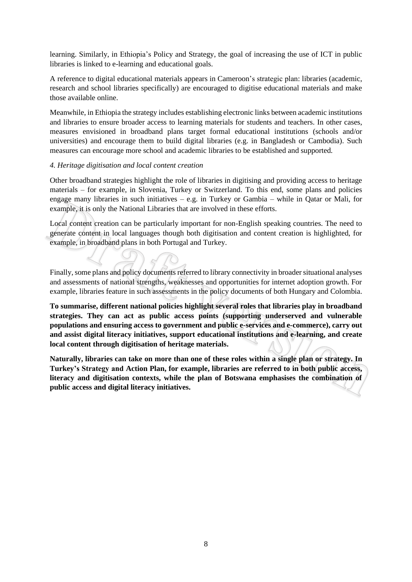learning. Similarly, in Ethiopia's Policy and Strategy, the goal of increasing the use of ICT in public libraries is linked to e-learning and educational goals.

A reference to digital educational materials appears in Cameroon's strategic plan: libraries (academic, research and school libraries specifically) are encouraged to digitise educational materials and make those available online.

Meanwhile, in Ethiopia the strategy includes establishing electronic links between academic institutions and libraries to ensure broader access to learning materials for students and teachers. In other cases, measures envisioned in broadband plans target formal educational institutions (schools and/or universities) and encourage them to build digital libraries (e.g. in Bangladesh or Cambodia). Such measures can encourage more school and academic libraries to be established and supported.

#### *4. Heritage digitisation and local content creation*

Other broadband strategies highlight the role of libraries in digitising and providing access to heritage materials – for example, in Slovenia, Turkey or Switzerland. To this end, some plans and policies engage many libraries in such initiatives  $-$  e.g. in Turkey or Gambia – while in Qatar or Mali, for example, it is only the National Libraries that are involved in these efforts.

Local content creation can be particularly important for non-English speaking countries. The need to generate content in local languages though both digitisation and content creation is highlighted, for example, in broadband plans in both Portugal and Turkey.

Finally, some plans and policy documents referred to library connectivity in broader situational analyses and assessments of national strengths, weaknesses and opportunities for internet adoption growth. For example, libraries feature in such assessments in the policy documents of both Hungary and Colombia.

**To summarise, different national policies highlight several roles that libraries play in broadband strategies. They can act as public access points (supporting underserved and vulnerable populations and ensuring access to government and public e-services and e-commerce), carry out and assist digital literacy initiatives, support educational institutions and e-learning, and create local content through digitisation of heritage materials.**

**Naturally, libraries can take on more than one of these roles within a single plan or strategy. In Turkey's Strategy and Action Plan, for example, libraries are referred to in both public access, literacy and digitisation contexts, while the plan of Botswana emphasises the combination of public access and digital literacy initiatives.**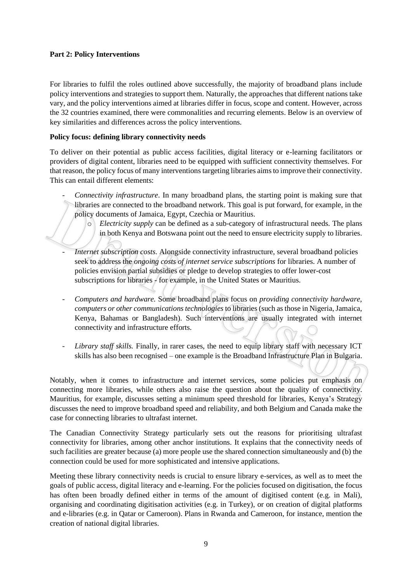#### **Part 2: Policy Interventions**

For libraries to fulfil the roles outlined above successfully, the majority of broadband plans include policy interventions and strategies to support them. Naturally, the approaches that different nations take vary, and the policy interventions aimed at libraries differ in focus, scope and content. However, across the 32 countries examined, there were commonalities and recurring elements. Below is an overview of key similarities and differences across the policy interventions.

# **Policy focus: defining library connectivity needs**

To deliver on their potential as public access facilities, digital literacy or e-learning facilitators or providers of digital content, libraries need to be equipped with sufficient connectivity themselves. For that reason, the policy focus of many interventions targeting libraries aims to improve their connectivity. This can entail different elements:

- *Connectivity infrastructure*. In many broadband plans, the starting point is making sure that libraries are connected to the broadband network. This goal is put forward, for example, in the policy documents of Jamaica, Egypt, Czechia or Mauritius.
	- *Electricity supply* can be defined as a sub-category of infrastructural needs. The plans in both Kenya and Botswana point out the need to ensure electricity supply to libraries.
- *Internet subscription costs.* Alongside connectivity infrastructure, several broadband policies seek to address the *ongoing costs of internet service subscriptions* for libraries. A number of policies envision partial subsidies or pledge to develop strategies to offer lower-cost subscriptions for libraries - for example, in the United States or Mauritius.
- *Computers and hardware.* Some broadband plans focus on *providing connectivity hardware, computers or other communications technologies* to libraries (such as those in Nigeria, Jamaica, Kenya, Bahamas or Bangladesh). Such interventions are usually integrated with internet connectivity and infrastructure efforts.
- *Library staff skills.* Finally, in rarer cases, the need to equip library staff with necessary ICT skills has also been recognised – one example is the Broadband Infrastructure Plan in Bulgaria.

Notably, when it comes to infrastructure and internet services, some policies put emphasis on connecting more libraries, while others also raise the question about the quality of connectivity. Mauritius, for example, discusses setting a minimum speed threshold for libraries, Kenya's Strategy discusses the need to improve broadband speed and reliability, and both Belgium and Canada make the case for connecting libraries to ultrafast internet.

The Canadian Connectivity Strategy particularly sets out the reasons for prioritising ultrafast connectivity for libraries, among other anchor institutions. It explains that the connectivity needs of such facilities are greater because (a) more people use the shared connection simultaneously and (b) the connection could be used for more sophisticated and intensive applications.

Meeting these library connectivity needs is crucial to ensure library e-services, as well as to meet the goals of public access, digital literacy and e-learning. For the policies focused on digitisation, the focus has often been broadly defined either in terms of the amount of digitised content (e.g. in Mali), organising and coordinating digitisation activities (e.g. in Turkey), or on creation of digital platforms and e-libraries (e.g. in Qatar or Cameroon). Plans in Rwanda and Cameroon, for instance, mention the creation of national digital libraries.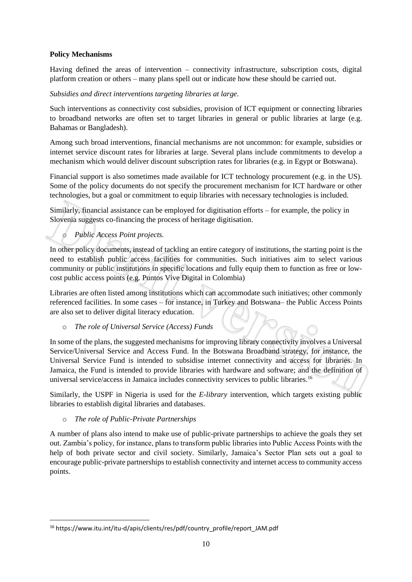# **Policy Mechanisms**

Having defined the areas of intervention – connectivity infrastructure, subscription costs, digital platform creation or others – many plans spell out or indicate how these should be carried out.

# *Subsidies and direct interventions targeting libraries at large.*

Such interventions as connectivity cost subsidies, provision of ICT equipment or connecting libraries to broadband networks are often set to target libraries in general or public libraries at large (e.g. Bahamas or Bangladesh).

Among such broad interventions, financial mechanisms are not uncommon: for example, subsidies or internet service discount rates for libraries at large. Several plans include commitments to develop a mechanism which would deliver discount subscription rates for libraries (e.g. in Egypt or Botswana).

Financial support is also sometimes made available for ICT technology procurement (e.g. in the US). Some of the policy documents do not specify the procurement mechanism for ICT hardware or other technologies, but a goal or commitment to equip libraries with necessary technologies is included.

Similarly, financial assistance can be employed for digitisation efforts – for example, the policy in Slovenia suggests co-financing the process of heritage digitisation.

# o *Public Access Point projects.*

In other policy documents, instead of tackling an entire category of institutions, the starting point is the need to establish public access facilities for communities. Such initiatives aim to select various community or public institutions in specific locations and fully equip them to function as free or lowcost public access points (e.g. Puntos Vive Digital in Colombia)

Libraries are often listed among institutions which can accommodate such initiatives; other commonly referenced facilities. In some cases – for instance, in Turkey and Botswana– the Public Access Points are also set to deliver digital literacy education.

# o *The role of Universal Service (Access) Funds*

In some of the plans, the suggested mechanisms for improving library connectivity involves a Universal Service/Universal Service and Access Fund. In the Botswana Broadband strategy, for instance, the Universal Service Fund is intended to subsidise internet connectivity and access for libraries. In Jamaica, the Fund is intended to provide libraries with hardware and software; and the definition of universal service/access in Jamaica includes connectivity services to public libraries.<sup>16</sup>

Similarly, the USPF in Nigeria is used for the *E-library* intervention, which targets existing public libraries to establish digital libraries and databases.

#### o *The role of Public-Private Partnerships*

A number of plans also intend to make use of public-private partnerships to achieve the goals they set out. Zambia's policy, for instance, plans to transform public libraries into Public Access Points with the help of both private sector and civil society. Similarly, Jamaica's Sector Plan sets out a goal to encourage public-private partnerships to establish connectivity and internet access to community access points.

<sup>16</sup> https://www.itu.int/itu-d/apis/clients/res/pdf/country\_profile/report\_JAM.pdf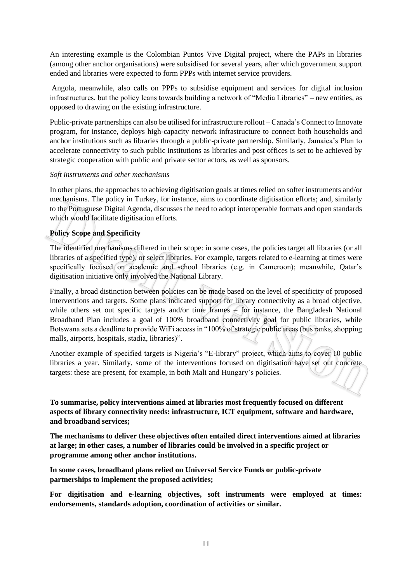An interesting example is the Colombian Puntos Vive Digital project, where the PAPs in libraries (among other anchor organisations) were subsidised for several years, after which government support ended and libraries were expected to form PPPs with internet service providers.

Angola, meanwhile, also calls on PPPs to subsidise equipment and services for digital inclusion infrastructures, but the policy leans towards building a network of "Media Libraries" – new entities, as opposed to drawing on the existing infrastructure.

Public-private partnerships can also be utilised for infrastructure rollout – Canada's Connect to Innovate program, for instance, deploys high-capacity network infrastructure to connect both households and anchor institutions such as libraries through a public-private partnership. Similarly, Jamaica's Plan to accelerate connectivity to such public institutions as libraries and post offices is set to be achieved by strategic cooperation with public and private sector actors, as well as sponsors.

## *Soft instruments and other mechanisms*

In other plans, the approaches to achieving digitisation goals at times relied on softer instruments and/or mechanisms. The policy in Turkey, for instance, aims to coordinate digitisation efforts; and, similarly to the Portuguese Digital Agenda, discusses the need to adopt interoperable formats and open standards which would facilitate digitisation efforts.

# **Policy Scope and Specificity**

The identified mechanisms differed in their scope: in some cases, the policies target all libraries (or all libraries of a specified type), or select libraries. For example, targets related to e-learning at times were specifically focused on academic and school libraries (e.g. in Cameroon); meanwhile, Qatar's digitisation initiative only involved the National Library.

Finally, a broad distinction between policies can be made based on the level of specificity of proposed interventions and targets. Some plans indicated support for library connectivity as a broad objective, while others set out specific targets and/or time frames  $\epsilon$  for instance, the Bangladesh National Broadband Plan includes a goal of 100% broadband connectivity goal for public libraries, while Botswana sets a deadline to provide WiFi access in "100% of strategic public areas (bus ranks, shopping malls, airports, hospitals, stadia, libraries)".

Another example of specified targets is Nigeria's "E-library" project, which aims to cover 10 public libraries a year. Similarly, some of the interventions focused on digitisation have set out concrete targets: these are present, for example, in both Mali and Hungary's policies.

**To summarise, policy interventions aimed at libraries most frequently focused on different aspects of library connectivity needs: infrastructure, ICT equipment, software and hardware, and broadband services;** 

**The mechanisms to deliver these objectives often entailed direct interventions aimed at libraries at large; in other cases, a number of libraries could be involved in a specific project or programme among other anchor institutions.**

**In some cases, broadband plans relied on Universal Service Funds or public-private partnerships to implement the proposed activities;**

**For digitisation and e-learning objectives, soft instruments were employed at times: endorsements, standards adoption, coordination of activities or similar.**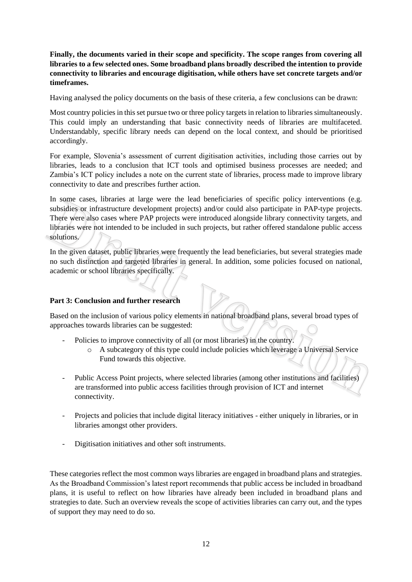**Finally, the documents varied in their scope and specificity. The scope ranges from covering all libraries to a few selected ones. Some broadband plans broadly described the intention to provide connectivity to libraries and encourage digitisation, while others have set concrete targets and/or timeframes.**

Having analysed the policy documents on the basis of these criteria, a few conclusions can be drawn:

Most country policies in this set pursue two or three policy targets in relation to libraries simultaneously. This could imply an understanding that basic connectivity needs of libraries are multifaceted. Understandably, specific library needs can depend on the local context, and should be prioritised accordingly.

For example, Slovenia's assessment of current digitisation activities, including those carries out by libraries, leads to a conclusion that ICT tools and optimised business processes are needed; and Zambia's ICT policy includes a note on the current state of libraries, process made to improve library connectivity to date and prescribes further action.

In some cases, libraries at large were the lead beneficiaries of specific policy interventions (e.g. subsidies or infrastructure development projects) and/or could also participate in PAP-type projects. There were also cases where PAP projects were introduced alongside library connectivity targets, and libraries were not intended to be included in such projects, but rather offered standalone public access solutions.

In the given dataset, public libraries were frequently the lead beneficiaries, but several strategies made no such distinction and targeted libraries in general. In addition, some policies focused on national, academic or school libraries specifically.

# **Part 3: Conclusion and further research**

Based on the inclusion of various policy elements in national broadband plans, several broad types of approaches towards libraries can be suggested:

- Policies to improve connectivity of all (or most libraries) in the country.
	- o A subcategory of this type could include policies which leverage a Universal Service Fund towards this objective.
- Public Access Point projects, where selected libraries (among other institutions and facilities) are transformed into public access facilities through provision of ICT and internet connectivity.
- Projects and policies that include digital literacy initiatives either uniquely in libraries, or in libraries amongst other providers.
- Digitisation initiatives and other soft instruments.

These categories reflect the most common ways libraries are engaged in broadband plans and strategies. As the Broadband Commission's latest report recommends that public access be included in broadband plans, it is useful to reflect on how libraries have already been included in broadband plans and strategies to date. Such an overview reveals the scope of activities libraries can carry out, and the types of support they may need to do so.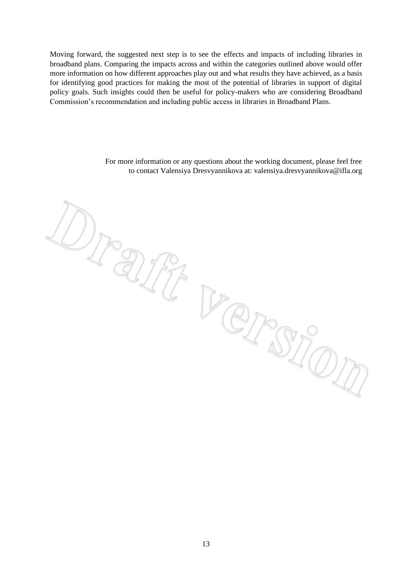Moving forward, the suggested next step is to see the effects and impacts of including libraries in broadband plans. Comparing the impacts across and within the categories outlined above would offer more information on how different approaches play out and what results they have achieved, as a basis for identifying good practices for making the most of the potential of libraries in support of digital policy goals. Such insights could then be useful for policy-makers who are considering Broadband Commission's recommendation and including public access in libraries in Broadband Plans.

 $\mathcal{D}_{\mathcal{F}}$ 

For more information or any questions about the working document, please feel free to contact Valensiya Dresvyannikova at: valensiya.dresvyannikova@ifla.org

rant version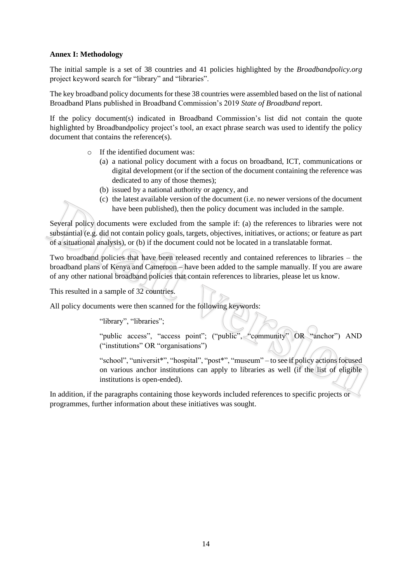#### **Annex I: Methodology**

The initial sample is a set of 38 countries and 41 policies highlighted by the *Broadbandpolicy.org* project keyword search for "library" and "libraries".

The key broadband policy documents for these 38 countries were assembled based on the list of national Broadband Plans published in Broadband Commission's 2019 *State of Broadband* report.

If the policy document(s) indicated in Broadband Commission's list did not contain the quote highlighted by Broadbandpolicy project's tool, an exact phrase search was used to identify the policy document that contains the reference(s).

- o If the identified document was:
	- (a) a national policy document with a focus on broadband, ICT, communications or digital development (or if the section of the document containing the reference was dedicated to any of those themes);
	- (b) issued by a national authority or agency, and
	- (c) the latest available version of the document (i.e. no newer versions of the document have been published), then the policy document was included in the sample.

Several policy documents were excluded from the sample if: (a) the references to libraries were not substantial (e.g. did not contain policy goals, targets, objectives, initiatives, or actions; or feature as part of a situational analysis), or (b) if the document could not be located in a translatable format.

Two broadband policies that have been released recently and contained references to libraries – the broadband plans of Kenya and Cameroon – have been added to the sample manually. If you are aware of any other national broadband policies that contain references to libraries, please let us know.

This resulted in a sample of 32 countries.

All policy documents were then scanned for the following keywords:

"library", "libraries";

"public access", "access point"; ("public", "community" OR "anchor") AND ("institutions" OR "organisations")

"school", "universit\*", "hospital", "post\*", "museum" – to see if policy actions focused on various anchor institutions can apply to libraries as well (if the list of eligible institutions is open-ended).

In addition, if the paragraphs containing those keywords included references to specific projects or programmes, further information about these initiatives was sought.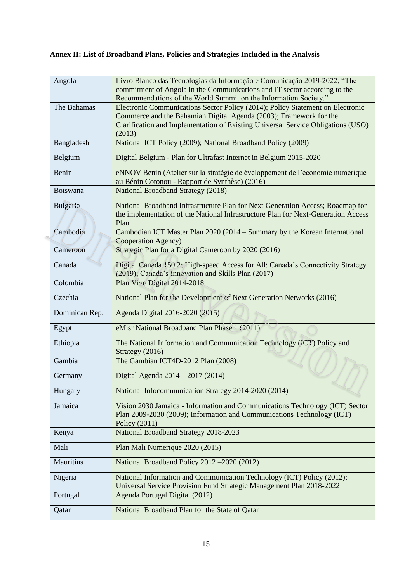# **Annex II: List of Broadband Plans, Policies and Strategies Included in the Analysis**

| Angola          | Livro Blanco das Tecnologias da Informação e Comunicação 2019-2022; "The<br>commitment of Angola in the Communications and IT sector according to the<br>Recommendations of the World Summit on the Information Society."                          |
|-----------------|----------------------------------------------------------------------------------------------------------------------------------------------------------------------------------------------------------------------------------------------------|
| The Bahamas     | Electronic Communications Sector Policy (2014); Policy Statement on Electronic<br>Commerce and the Bahamian Digital Agenda (2003); Framework for the<br>Clarification and Implementation of Existing Universal Service Obligations (USO)<br>(2013) |
| Bangladesh      | National ICT Policy (2009); National Broadband Policy (2009)                                                                                                                                                                                       |
| Belgium         | Digital Belgium - Plan for Ultrafast Internet in Belgium 2015-2020                                                                                                                                                                                 |
| Benin           | eNNOV Benin (Atelier sur la stratégie de éveloppement de l'économie numérique<br>au Bénin Cotonou - Rapport de Synthèse) (2016)                                                                                                                    |
| <b>Botswana</b> | <b>National Broadband Strategy (2018)</b>                                                                                                                                                                                                          |
| Bulgaria        | National Broadband Infrastructure Plan for Next Generation Access; Roadmap for<br>the implementation of the National Infrastructure Plan for Next-Generation Access<br>Plan                                                                        |
| Cambodia        | Cambodian ICT Master Plan 2020 (2014 – Summary by the Korean International<br>Cooperation Agency)                                                                                                                                                  |
| Cameroon        | Strategic Plan for a Digital Cameroon by 2020 (2016)                                                                                                                                                                                               |
| Canada          | Digital Canada 150.2; High-speed Access for All: Canada's Connectivity Strategy<br>(2019); Canada's Innovation and Skills Plan (2017)                                                                                                              |
| Colombia        | Plan Vive Digital 2014-2018                                                                                                                                                                                                                        |
| Czechia         | National Plan for the Development of Next Generation Networks (2016)                                                                                                                                                                               |
| Dominican Rep.  | Agenda Digital 2016-2020 (2015)                                                                                                                                                                                                                    |
| Egypt           | eMisr National Broadband Plan Phase 1 (2011)                                                                                                                                                                                                       |
| Ethiopia        | The National Information and Communication Technology (ICT) Policy and<br>Strategy (2016)                                                                                                                                                          |
| Gambia          | The Gambian ICT4D-2012 Plan (2008)                                                                                                                                                                                                                 |
| Germany         | Digital Agenda 2014 – 2017 (2014)                                                                                                                                                                                                                  |
| Hungary         | National Infocommunication Strategy 2014-2020 (2014)                                                                                                                                                                                               |
| Jamaica         | Vision 2030 Jamaica - Information and Communications Technology (ICT) Sector<br>Plan 2009-2030 (2009); Information and Communications Technology (ICT)<br>Policy (2011)                                                                            |
| Kenya           | National Broadband Strategy 2018-2023                                                                                                                                                                                                              |
| Mali            | Plan Mali Numerique 2020 (2015)                                                                                                                                                                                                                    |
| Mauritius       | National Broadband Policy 2012 - 2020 (2012)                                                                                                                                                                                                       |
| Nigeria         | National Information and Communication Technology (ICT) Policy (2012);<br>Universal Service Provision Fund Strategic Management Plan 2018-2022                                                                                                     |
| Portugal        | Agenda Portugal Digital (2012)                                                                                                                                                                                                                     |
| Qatar           | National Broadband Plan for the State of Qatar                                                                                                                                                                                                     |